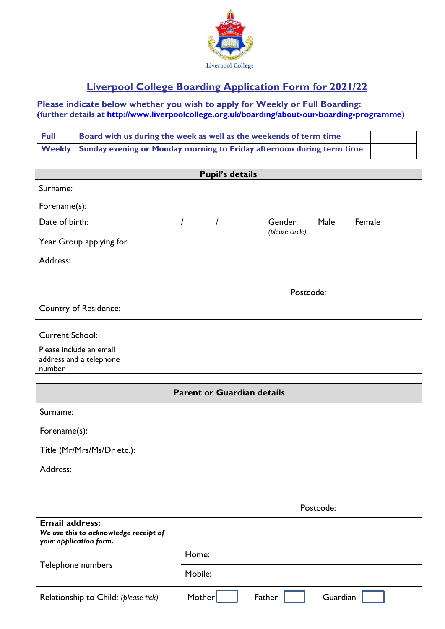

## **Liverpool College Boarding Application Form for 2021/22**

## **Please indicate below whether you wish to apply for Weekly or Full Boarding: (further details at [http://www.liverpoolcollege.org.uk/boarding/about-our-boarding-programme\)](http://www.liverpoolcollege.org.uk/boarding/about-our-boarding-programme)**

| <b>Full</b> | Board with us during the week as well as the weekends of term time             |  |
|-------------|--------------------------------------------------------------------------------|--|
|             | Weekly   Sunday evening or Monday morning to Friday afternoon during term time |  |

| <b>Pupil's details</b>       |           |  |                                              |  |  |  |
|------------------------------|-----------|--|----------------------------------------------|--|--|--|
| Surname:                     |           |  |                                              |  |  |  |
| Forename(s):                 |           |  |                                              |  |  |  |
| Date of birth:               |           |  | Male<br>Female<br>Gender:<br>(please circle) |  |  |  |
| Year Group applying for      |           |  |                                              |  |  |  |
| Address:                     |           |  |                                              |  |  |  |
|                              |           |  |                                              |  |  |  |
|                              | Postcode: |  |                                              |  |  |  |
| <b>Country of Residence:</b> |           |  |                                              |  |  |  |

| Current School:                                              |  |
|--------------------------------------------------------------|--|
| Please include an email<br>address and a telephone<br>number |  |

| <b>Parent or Guardian details</b>                                                        |                              |  |  |  |  |  |
|------------------------------------------------------------------------------------------|------------------------------|--|--|--|--|--|
| Surname:                                                                                 |                              |  |  |  |  |  |
| Forename(s):                                                                             |                              |  |  |  |  |  |
| Title (Mr/Mrs/Ms/Dr etc.):                                                               |                              |  |  |  |  |  |
| Address:                                                                                 |                              |  |  |  |  |  |
|                                                                                          |                              |  |  |  |  |  |
|                                                                                          | Postcode:                    |  |  |  |  |  |
| <b>Email address:</b><br>We use this to acknowledge receipt of<br>your application form. |                              |  |  |  |  |  |
|                                                                                          | Home:                        |  |  |  |  |  |
| Telephone numbers                                                                        | Mobile:                      |  |  |  |  |  |
| Relationship to Child: (please tick)                                                     | Mother<br>Father<br>Guardian |  |  |  |  |  |